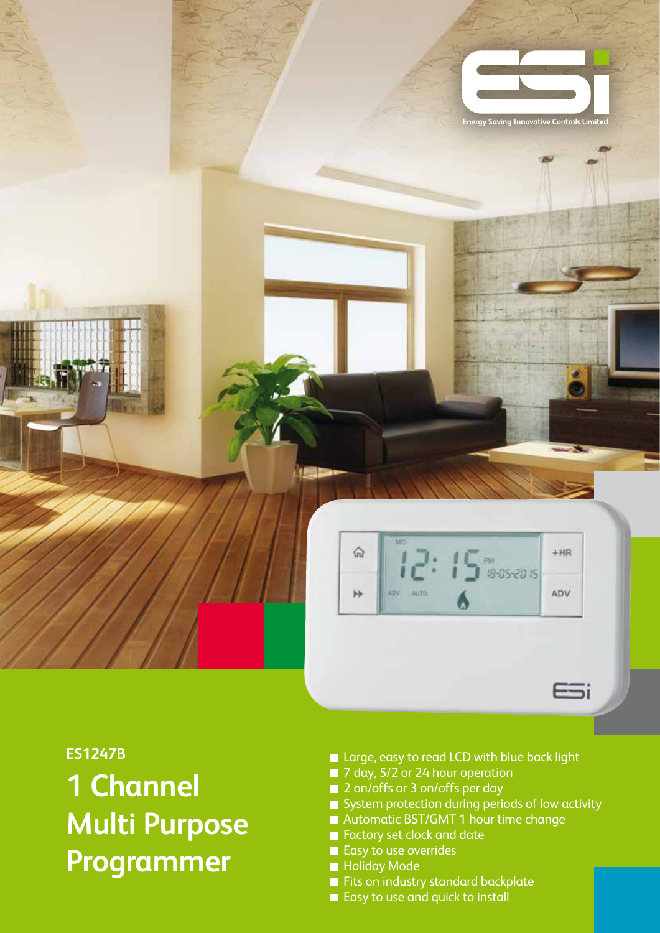

## **ES1247B**

**1 Channel Multi Purpose Programmer**

- Large, easy to read LCD with blue back light
- 7 day, 5/2 or 24 hour operation
- 2 on/offs or 3 on/offs per day
- $\blacksquare$  System protection during periods of low activity
- Automatic BST/GMT 1 hour time change
- **Factory set clock and date**
- Easy to use overrides
- **Holiday Mode**
- Fits on industry standard backplate
- Easy to use and quick to install